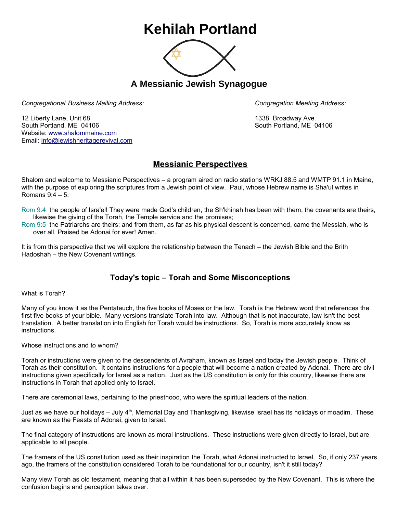## **Kehilah Portland**



**A Messianic Jewish Synagogue** 

*Congregational Business Mailing Address: Congregation Meeting Address:*

12 Liberty Lane, Unit 68 1338 Broadway Ave. South Portland, ME 04106 South Portland, ME 04106 Website: [www.shalommaine.com](http://www.shalommaine.com/) Email: [info@jewishheritagerevival.com](mailto:info@jewishheritagerevival.com) 

## **Messianic Perspectives**

Shalom and welcome to Messianic Perspectives – a program aired on radio stations WRKJ 88.5 and WMTP 91.1 in Maine, with the purpose of exploring the scriptures from a Jewish point of view. Paul, whose Hebrew name is Sha'ul writes in Romans 9:4 – 5:

Rom 9:4 the people of Isra'el! They were made God's children, the Sh'khinah has been with them, the covenants are theirs, likewise the giving of the Torah, the Temple service and the promises;

Rom 9:5 the Patriarchs are theirs; and from them, as far as his physical descent is concerned, came the Messiah, who is over all. Praised be Adonai for ever! Amen.

It is from this perspective that we will explore the relationship between the Tenach – the Jewish Bible and the Brith Hadoshah – the New Covenant writings.

## **Today's topic – Torah and Some Misconceptions**

What is Torah?

Many of you know it as the Pentateuch, the five books of Moses or the law. Torah is the Hebrew word that references the first five books of your bible. Many versions translate Torah into law. Although that is not inaccurate, law isn't the best translation. A better translation into English for Torah would be instructions. So, Torah is more accurately know as instructions.

Whose instructions and to whom?

Torah or instructions were given to the descendents of Avraham, known as Israel and today the Jewish people. Think of Torah as their constitution. It contains instructions for a people that will become a nation created by Adonai. There are civil instructions given specifically for Israel as a nation. Just as the US constitution is only for this country, likewise there are instructions in Torah that applied only to Israel.

There are ceremonial laws, pertaining to the priesthood, who were the spiritual leaders of the nation.

Just as we have our holidays – July  $4<sup>th</sup>$ , Memorial Day and Thanksgiving, likewise Israel has its holidays or moadim. These are known as the Feasts of Adonai, given to Israel.

The final category of instructions are known as moral instructions. These instructions were given directly to Israel, but are applicable to all people.

The framers of the US constitution used as their inspiration the Torah, what Adonai instructed to Israel. So, if only 237 years ago, the framers of the constitution considered Torah to be foundational for our country, isn't it still today?

Many view Torah as old testament, meaning that all within it has been superseded by the New Covenant. This is where the confusion begins and perception takes over.